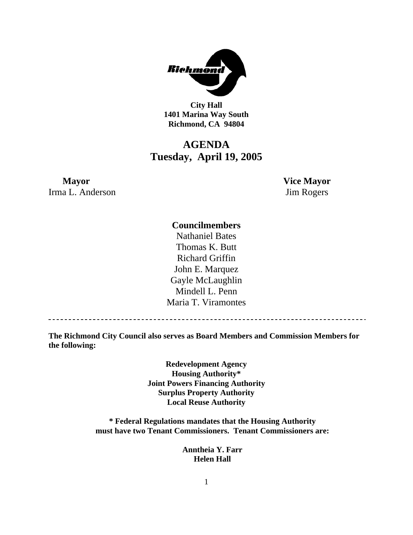

**City Hall 1401 Marina Way South Richmond, CA 94804** 

# **AGENDA Tuesday, April 19, 2005**

## **Mayor** Vice Mayor Irma L. Anderson Jim Rogers

## **Councilmembers**

Nathaniel Bates Thomas K. Butt Richard Griffin John E. Marquez Gayle McLaughlin Mindell L. Penn Maria T. Viramontes

<u>---------------</u>

**The Richmond City Council also serves as Board Members and Commission Members for the following:** 

> **Redevelopment Agency Housing Authority\* Joint Powers Financing Authority Surplus Property Authority Local Reuse Authority**

**\* Federal Regulations mandates that the Housing Authority must have two Tenant Commissioners. Tenant Commissioners are:** 

> **Anntheia Y. Farr Helen Hall**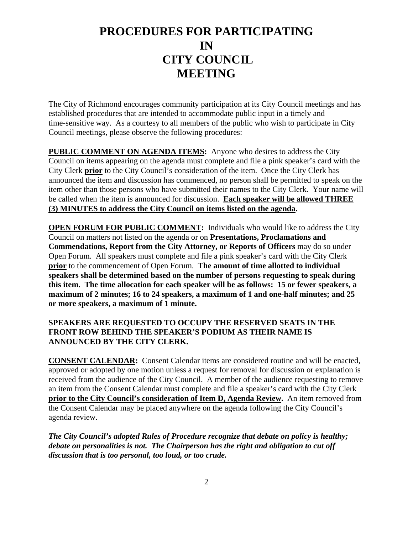# **PROCEDURES FOR PARTICIPATING IN CITY COUNCIL MEETING**

The City of Richmond encourages community participation at its City Council meetings and has established procedures that are intended to accommodate public input in a timely and time-sensitive way. As a courtesy to all members of the public who wish to participate in City Council meetings, please observe the following procedures:

**PUBLIC COMMENT ON AGENDA ITEMS:** Anyone who desires to address the City Council on items appearing on the agenda must complete and file a pink speaker's card with the City Clerk **prior** to the City Council's consideration of the item. Once the City Clerk has announced the item and discussion has commenced, no person shall be permitted to speak on the item other than those persons who have submitted their names to the City Clerk. Your name will be called when the item is announced for discussion. **Each speaker will be allowed THREE (3) MINUTES to address the City Council on items listed on the agenda.** 

**OPEN FORUM FOR PUBLIC COMMENT:** Individuals who would like to address the City Council on matters not listed on the agenda or on **Presentations, Proclamations and Commendations, Report from the City Attorney, or Reports of Officers** may do so under Open Forum. All speakers must complete and file a pink speaker's card with the City Clerk **prior** to the commencement of Open Forum. **The amount of time allotted to individual speakers shall be determined based on the number of persons requesting to speak during this item. The time allocation for each speaker will be as follows: 15 or fewer speakers, a maximum of 2 minutes; 16 to 24 speakers, a maximum of 1 and one-half minutes; and 25 or more speakers, a maximum of 1 minute.** 

#### **SPEAKERS ARE REQUESTED TO OCCUPY THE RESERVED SEATS IN THE FRONT ROW BEHIND THE SPEAKER'S PODIUM AS THEIR NAME IS ANNOUNCED BY THE CITY CLERK.**

**CONSENT CALENDAR:** Consent Calendar items are considered routine and will be enacted, approved or adopted by one motion unless a request for removal for discussion or explanation is received from the audience of the City Council. A member of the audience requesting to remove an item from the Consent Calendar must complete and file a speaker's card with the City Clerk **prior to the City Council's consideration of Item D, Agenda Review.** An item removed from the Consent Calendar may be placed anywhere on the agenda following the City Council's agenda review.

*The City Council's adopted Rules of Procedure recognize that debate on policy is healthy; debate on personalities is not. The Chairperson has the right and obligation to cut off discussion that is too personal, too loud, or too crude.*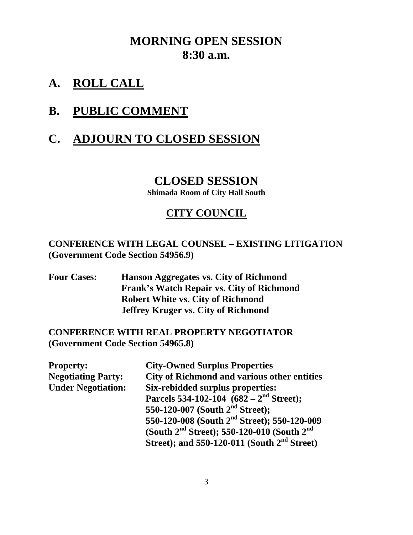# **MORNING OPEN SESSION 8:30 a.m.**

**A. ROLL CALL**

# **B. PUBLIC COMMENT**

# **C. ADJOURN TO CLOSED SESSION**

# **CLOSED SESSION**

**Shimada Room of City Hall South** 

# **CITY COUNCIL**

**CONFERENCE WITH LEGAL COUNSEL – EXISTING LITIGATION (Government Code Section 54956.9)** 

**Four Cases: Hanson Aggregates vs. City of Richmond Frank's Watch Repair vs. City of Richmond Robert White vs. City of Richmond Jeffrey Kruger vs. City of Richmond** 

## **CONFERENCE WITH REAL PROPERTY NEGOTIATOR (Government Code Section 54965.8)**

| <b>Property:</b>          | <b>City-Owned Surplus Properties</b>                    |
|---------------------------|---------------------------------------------------------|
| <b>Negotiating Party:</b> | <b>City of Richmond and various other entities</b>      |
| <b>Under Negotiation:</b> | <b>Six-rebidded surplus properties:</b>                 |
|                           | Parcels 534-102-104 $(682 - 2nd Street);$               |
|                           | 550-120-007 (South 2 <sup>nd</sup> Street);             |
|                           | 550-120-008 (South 2 <sup>nd</sup> Street); 550-120-009 |
|                           | (South $2^{nd}$ Street); 550-120-010 (South $2^{nd}$    |
|                           | Street); and $550-120-011$ (South $2nd$ Street)         |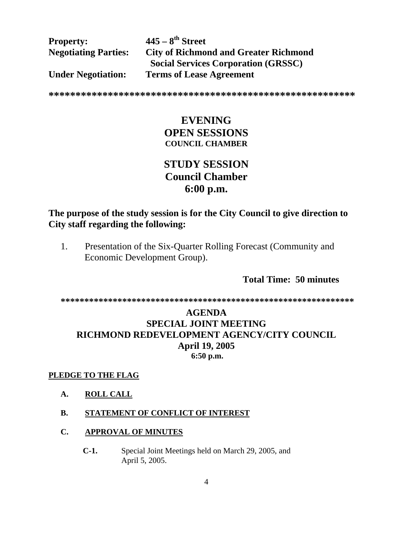| <b>Property:</b>            | $445 - 8$ <sup>th</sup> Street               |
|-----------------------------|----------------------------------------------|
| <b>Negotiating Parties:</b> | <b>City of Richmond and Greater Richmond</b> |
|                             | <b>Social Services Corporation (GRSSC)</b>   |
| <b>Under Negotiation:</b>   | <b>Terms of Lease Agreement</b>              |

**\*\*\*\*\*\*\*\*\*\*\*\*\*\*\*\*\*\*\*\*\*\*\*\*\*\*\*\*\*\*\*\*\*\*\*\*\*\*\*\*\*\*\*\*\*\*\*\*\*\*\*\*\*\*\*\*\***

## **EVENING OPEN SESSIONS COUNCIL CHAMBER**

# **STUDY SESSION Council Chamber 6:00 p.m.**

## **The purpose of the study session is for the City Council to give direction to City staff regarding the following:**

1. Presentation of the Six-Quarter Rolling Forecast (Community and Economic Development Group).

**Total Time: 50 minutes** 

**\*\*\*\*\*\*\*\*\*\*\*\*\*\*\*\*\*\*\*\*\*\*\*\*\*\*\*\*\*\*\*\*\*\*\*\*\*\*\*\*\*\*\*\*\*\*\*\*\*\*\*\*\*\*\*\*\*\*\*\*\*\*** 

## **AGENDA SPECIAL JOINT MEETING RICHMOND REDEVELOPMENT AGENCY/CITY COUNCIL April 19, 2005 6:50 p.m.**

#### **PLEDGE TO THE FLAG**

- **A. ROLL CALL**
- **B. STATEMENT OF CONFLICT OF INTEREST**

#### **C. APPROVAL OF MINUTES**

 **C-1.** Special Joint Meetings held on March 29, 2005, and April 5, 2005.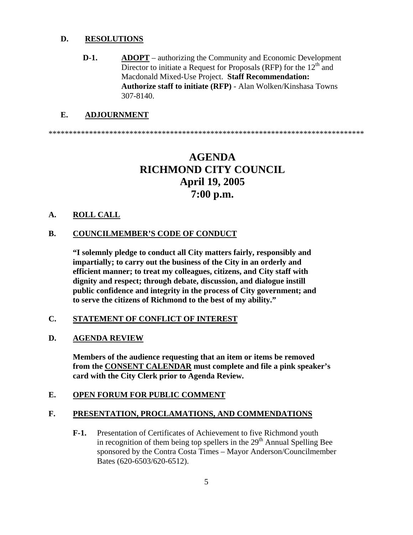#### **D. RESOLUTIONS**

**D-1. ADOPT** – authorizing the Community and Economic Development Director to initiate a Request for Proposals (RFP) for the  $12<sup>th</sup>$  and Macdonald Mixed-Use Project. **Staff Recommendation: Authorize staff to initiate (RFP)** - Alan Wolken/Kinshasa Towns 307-8140.

#### **E. ADJOURNMENT**

\*\*\*\*\*\*\*\*\*\*\*\*\*\*\*\*\*\*\*\*\*\*\*\*\*\*\*\*\*\*\*\*\*\*\*\*\*\*\*\*\*\*\*\*\*\*\*\*\*\*\*\*\*\*\*\*\*\*\*\*\*\*\*\*\*\*\*\*\*\*\*\*\*\*\*\*\*\*

# **AGENDA RICHMOND CITY COUNCIL April 19, 2005 7:00 p.m.**

#### **A. ROLL CALL**

#### **B. COUNCILMEMBER'S CODE OF CONDUCT**

 **"I solemnly pledge to conduct all City matters fairly, responsibly and impartially; to carry out the business of the City in an orderly and efficient manner; to treat my colleagues, citizens, and City staff with dignity and respect; through debate, discussion, and dialogue instill public confidence and integrity in the process of City government; and to serve the citizens of Richmond to the best of my ability."** 

#### **C. STATEMENT OF CONFLICT OF INTEREST**

#### **D. AGENDA REVIEW**

 **Members of the audience requesting that an item or items be removed from the CONSENT CALENDAR must complete and file a pink speaker's card with the City Clerk prior to Agenda Review.** 

#### **E. OPEN FORUM FOR PUBLIC COMMENT**

#### **F. PRESENTATION, PROCLAMATIONS, AND COMMENDATIONS**

 **F-1.** Presentation of Certificates of Achievement to five Richmond youth in recognition of them being top spellers in the  $29<sup>th</sup>$  Annual Spelling Bee sponsored by the Contra Costa Times – Mayor Anderson/Councilmember Bates (620-6503/620-6512).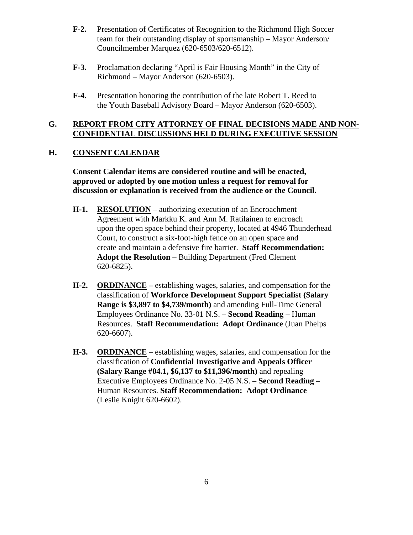- **F-2.** Presentation of Certificates of Recognition to the Richmond High Soccer team for their outstanding display of sportsmanship – Mayor Anderson/ Councilmember Marquez (620-6503/620-6512).
- **F-3.** Proclamation declaring "April is Fair Housing Month" in the City of Richmond – Mayor Anderson (620-6503).
- **F-4.** Presentation honoring the contribution of the late Robert T. Reed to the Youth Baseball Advisory Board – Mayor Anderson (620-6503).

#### **G. REPORT FROM CITY ATTORNEY OF FINAL DECISIONS MADE AND NON-CONFIDENTIAL DISCUSSIONS HELD DURING EXECUTIVE SESSION**

#### **H. CONSENT CALENDAR**

 **Consent Calendar items are considered routine and will be enacted, approved or adopted by one motion unless a request for removal for discussion or explanation is received from the audience or the Council.** 

- **H-1. RESOLUTION** authorizing execution of an Encroachment Agreement with Markku K. and Ann M. Ratilainen to encroach upon the open space behind their property, located at 4946 Thunderhead Court, to construct a six-foot-high fence on an open space and create and maintain a defensive fire barrier. **Staff Recommendation: Adopt the Resolution** – Building Department (Fred Clement 620-6825).
- **H-2. ORDINANCE** establishing wages, salaries, and compensation for the classification of **Workforce Development Support Specialist (Salary Range is \$3,897 to \$4,739/month)** and amending Full-Time General Employees Ordinance No. 33-01 N.S. – **Second Reading** – Human Resources. **Staff Recommendation: Adopt Ordinance** (Juan Phelps 620-6607).
- **H-3. ORDINANCE** establishing wages, salaries, and compensation for the classification of **Confidential Investigative and Appeals Officer (Salary Range #04.1, \$6,137 to \$11,396/month)** and repealing Executive Employees Ordinance No. 2-05 N.S. – **Second Reading** – Human Resources. **Staff Recommendation: Adopt Ordinance** (Leslie Knight 620-6602).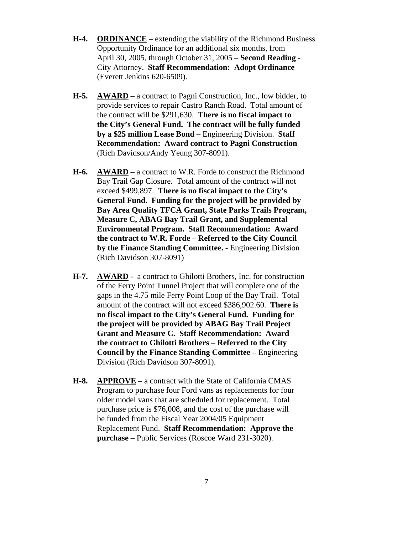- **H-4. ORDINANCE** extending the viability of the Richmond Business Opportunity Ordinance for an additional six months, from April 30, 2005, through October 31, 2005 – **Second Reading** - City Attorney. **Staff Recommendation: Adopt Ordinance** (Everett Jenkins 620-6509).
- **H-5. AWARD** a contract to Pagni Construction, Inc., low bidder, to provide services to repair Castro Ranch Road. Total amount of the contract will be \$291,630. **There is no fiscal impact to the City's General Fund. The contract will be fully funded by a \$25 million Lease Bond** – Engineering Division. **Staff Recommendation: Award contract to Pagni Construction** (Rich Davidson/Andy Yeung 307-8091).
- **H-6. AWARD** a contract to W.R. Forde to construct the Richmond Bay Trail Gap Closure. Total amount of the contract will not exceed \$499,897. **There is no fiscal impact to the City's General Fund. Funding for the project will be provided by Bay Area Quality TFCA Grant, State Parks Trails Program, Measure C, ABAG Bay Trail Grant, and Supplemental Environmental Program. Staff Recommendation: Award the contract to W.R. Forde** – **Referred to the City Council by the Finance Standing Committee.** - Engineering Division (Rich Davidson 307-8091)
- **H-7. AWARD** a contract to Ghilotti Brothers, Inc. for construction of the Ferry Point Tunnel Project that will complete one of the gaps in the 4.75 mile Ferry Point Loop of the Bay Trail. Total amount of the contract will not exceed \$386,902.60. **There is no fiscal impact to the City's General Fund. Funding for the project will be provided by ABAG Bay Trail Project Grant and Measure C. Staff Recommendation: Award the contract to Ghilotti Brothers** – **Referred to the City Council by the Finance Standing Committee –** Engineering Division (Rich Davidson 307-8091).
- **H-8. APPROVE** a contract with the State of California CMAS Program to purchase four Ford vans as replacements for four older model vans that are scheduled for replacement. Total purchase price is \$76,008, and the cost of the purchase will be funded from the Fiscal Year 2004/05 Equipment Replacement Fund. **Staff Recommendation: Approve the purchase** – Public Services (Roscoe Ward 231-3020).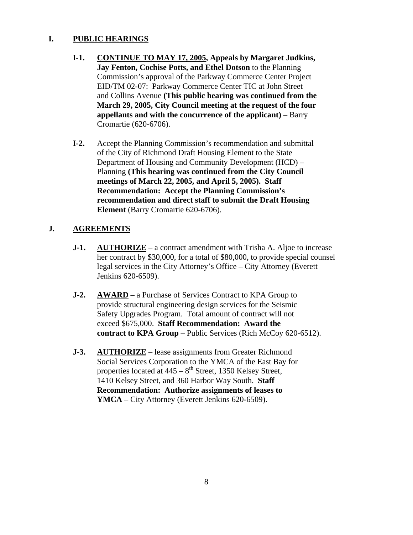### **I. PUBLIC HEARINGS**

- **I-1. CONTINUE TO MAY 17, 2005, Appeals by Margaret Judkins, Jay Fenton, Cochise Potts, and Ethel Dotson** to the Planning Commission's approval of the Parkway Commerce Center Project EID/TM 02-07: Parkway Commerce Center TIC at John Street and Collins Avenue **(This public hearing was continued from the March 29, 2005, City Council meeting at the request of the four appellants and with the concurrence of the applicant)** – Barry Cromartie (620-6706).
- **I-2.** Accept the Planning Commission's recommendation and submittal of the City of Richmond Draft Housing Element to the State Department of Housing and Community Development (HCD) – Planning **(This hearing was continued from the City Council meetings of March 22, 2005, and April 5, 2005). Staff Recommendation: Accept the Planning Commission's recommendation and direct staff to submit the Draft Housing Element** (Barry Cromartie 620-6706).

### **J. AGREEMENTS**

- **J-1.** AUTHORIZE a contract amendment with Trisha A. Aljoe to increase her contract by \$30,000, for a total of \$80,000, to provide special counsel legal services in the City Attorney's Office – City Attorney (Everett Jenkins 620-6509).
- **J-2.** AWARD a Purchase of Services Contract to KPA Group to provide structural engineering design services for the Seismic Safety Upgrades Program. Total amount of contract will not exceed \$675,000. **Staff Recommendation: Award the contract to KPA Group** – Public Services (Rich McCoy 620-6512).
- **J-3. AUTHORIZE** lease assignments from Greater Richmond Social Services Corporation to the YMCA of the East Bay for properties located at  $445 - 8$ <sup>th</sup> Street, 1350 Kelsey Street, 1410 Kelsey Street, and 360 Harbor Way South. **Staff Recommendation: Authorize assignments of leases to YMCA** – City Attorney (Everett Jenkins 620-6509).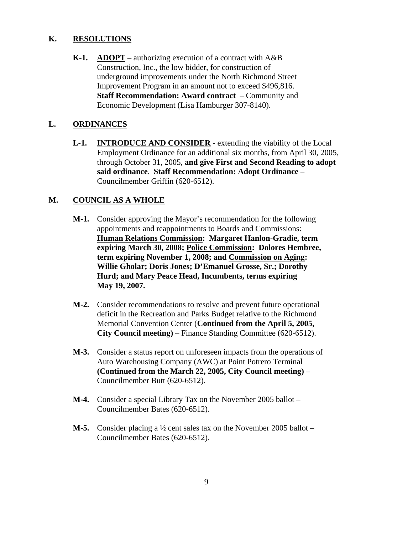#### **K. RESOLUTIONS**

 **K-1. ADOPT** – authorizing execution of a contract with A&B Construction, Inc., the low bidder, for construction of underground improvements under the North Richmond Street Improvement Program in an amount not to exceed \$496,816. **Staff Recommendation: Award contract** – Community and Economic Development (Lisa Hamburger 307-8140).

#### **L. ORDINANCES**

**L-1. INTRODUCE AND CONSIDER** - extending the viability of the Local Employment Ordinance for an additional six months, from April 30, 2005, through October 31, 2005, **and give First and Second Reading to adopt said ordinance**. **Staff Recommendation: Adopt Ordinance** – Councilmember Griffin (620-6512).

### **M. COUNCIL AS A WHOLE**

- **M-1.** Consider approving the Mayor's recommendation for the following appointments and reappointments to Boards and Commissions: **Human Relations Commission: Margaret Hanlon-Gradie, term expiring March 30, 2008; Police Commission: Dolores Hembree, term expiring November 1, 2008; and Commission on Aging: Willie Gholar; Doris Jones; D'Emanuel Grosse, Sr.; Dorothy Hurd; and Mary Peace Head, Incumbents, terms expiring May 19, 2007.**
- **M-2.** Consider recommendations to resolve and prevent future operational deficit in the Recreation and Parks Budget relative to the Richmond Memorial Convention Center (**Continued from the April 5, 2005, City Council meeting)** – Finance Standing Committee (620-6512).
- **M-3.** Consider a status report on unforeseen impacts from the operations of Auto Warehousing Company (AWC) at Point Potrero Terminal **(Continued from the March 22, 2005, City Council meeting)** – Councilmember Butt (620-6512).
- **M-4.** Consider a special Library Tax on the November 2005 ballot Councilmember Bates (620-6512).
- **M-5.** Consider placing a ½ cent sales tax on the November 2005 ballot Councilmember Bates (620-6512).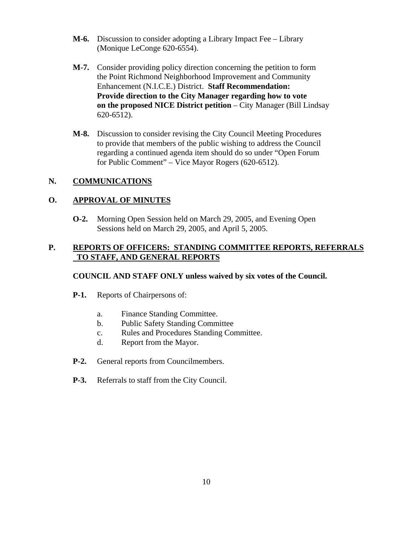- **M-6.** Discussion to consider adopting a Library Impact Fee Library (Monique LeConge 620-6554).
- **M-7.** Consider providing policy direction concerning the petition to form the Point Richmond Neighborhood Improvement and Community Enhancement (N.I.C.E.) District. **Staff Recommendation: Provide direction to the City Manager regarding how to vote on the proposed NICE District petition** – City Manager (Bill Lindsay 620-6512).
- **M-8.** Discussion to consider revising the City Council Meeting Procedures to provide that members of the public wishing to address the Council regarding a continued agenda item should do so under "Open Forum for Public Comment" – Vice Mayor Rogers (620-6512).

### **N. COMMUNICATIONS**

#### **O. APPROVAL OF MINUTES**

 **O-2.** Morning Open Session held on March 29, 2005, and Evening Open Sessions held on March 29, 2005, and April 5, 2005.

#### **P. REPORTS OF OFFICERS: STANDING COMMITTEE REPORTS, REFERRALS TO STAFF, AND GENERAL REPORTS**

#### **COUNCIL AND STAFF ONLY unless waived by six votes of the Council.**

- **P-1.** Reports of Chairpersons of:
	- a. Finance Standing Committee.
	- b. Public Safety Standing Committee
	- c. Rules and Procedures Standing Committee.
	- d. Report from the Mayor.
- **P-2.** General reports from Councilmembers.
- **P-3.** Referrals to staff from the City Council.